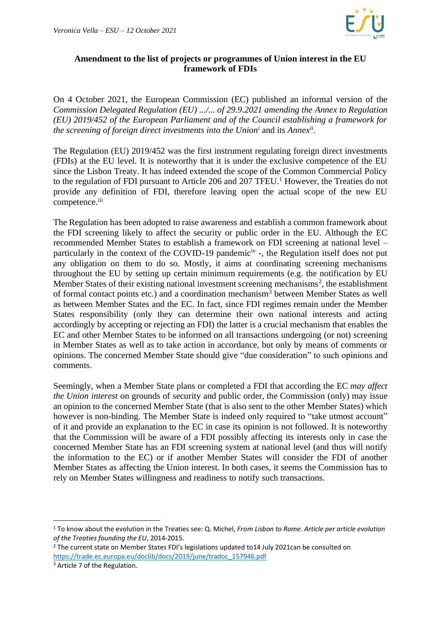

## **Amendment to the list of projects or programmes of Union interest in the EU framework of FDIs**

On 4 October 2021, the European Commission (EC) published an informal version of the *Commission Delegated Regulation (EU) .../... of 29.9.2021 amending the Annex to Regulation (EU) 2019/452 of the European Parliament and of the Council establishing a framework for the screening of foreign direct investments into the Union<sup>i</sup>* and its *Annex*ii .

The Regulation (EU) 2019/452 was the first instrument regulating foreign direct investments (FDIs) at the EU level. It is noteworthy that it is under the exclusive competence of the EU since the Lisbon Treaty. It has indeed extended the scope of the Common Commercial Policy to the regulation of FDI pursuant to Article 206 and 207 TFEU.<sup>1</sup> However, the Treaties do not provide any definition of FDI, therefore leaving open the actual scope of the new EU competence.<sup>iii</sup>

The Regulation has been adopted to raise awareness and establish a common framework about the FDI screening likely to affect the security or public order in the EU. Although the EC recommended Member States to establish a framework on FDI screening at national level – particularly in the context of the COVID-19 pandemic<sup>iv</sup>-, the Regulation itself does not put any obligation on them to do so. Mostly, it aims at coordinating screening mechanisms throughout the EU by setting up certain minimum requirements (e.g. the notification by EU Member States of their existing national investment screening mechanisms<sup>2</sup>, the establishment of formal contact points etc.) and a coordination mechanism<sup>3</sup> between Member States as well as between Member States and the EC. In fact, since FDI regimes remain under the Member States responsibility (only they can determine their own national interests and acting accordingly by accepting or rejecting an FDI) the latter is a crucial mechanism that enables the EC and other Member States to be informed on all transactions undergoing (or not) screening in Member States as well as to take action in accordance, but only by means of comments or opinions. The concerned Member State should give "due consideration" to such opinions and comments.

Seemingly, when a Member State plans or completed a FDI that according the EC *may affect the Union interest* on grounds of security and public order, the Commission (only) may issue an opinion to the concerned Member State (that is also sent to the other Member States) which however is non-binding. The Member State is indeed only required to "take utmost account" of it and provide an explanation to the EC in case its opinion is not followed. It is noteworthy that the Commission will be aware of a FDI possibly affecting its interests only in case the concerned Member State has an FDI screening system at national level (and thus will notify the information to the EC) or if another Member States will consider the FDI of another Member States as affecting the Union interest. In both cases, it seems the Commission has to rely on Member States willingness and readiness to notify such transactions.

<sup>1</sup> To know about the evolution in the Treaties see: Q. Michel, *From Lisbon to Rome. Article per article evolution of the Treaties founding the EU*, 2014-2015.

<sup>&</sup>lt;sup>2</sup> The current state on Member States FDI's legislations updated to14 July 2021can be consulted on [https://trade.ec.europa.eu/doclib/docs/2019/june/tradoc\\_157946.pdf](https://trade.ec.europa.eu/doclib/docs/2019/june/tradoc_157946.pdf)

<sup>3</sup> Article 7 of the Regulation.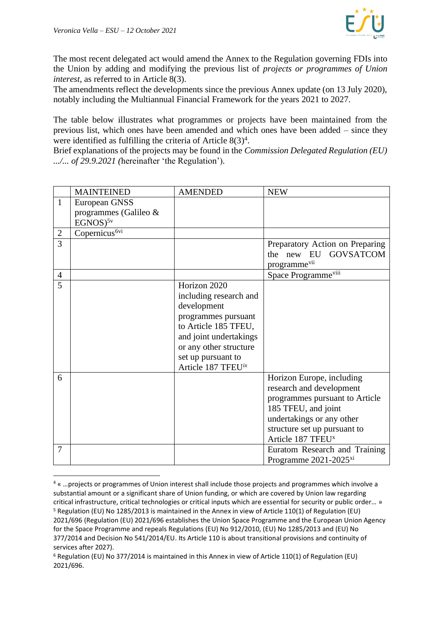

The most recent delegated act would amend the Annex to the Regulation governing FDIs into the Union by adding and modifying the previous list of *projects or programmes of Union interest*, as referred to in Article 8(3).

The amendments reflect the developments since the previous Annex update (on 13 July 2020), notably including the Multiannual Financial Framework for the years 2021 to 2027.

The table below illustrates what programmes or projects have been maintained from the previous list, which ones have been amended and which ones have been added – since they were identified as fulfilling the criteria of Article  $8(3)^4$ .

Brief explanations of the projects may be found in the *Commission Delegated Regulation (EU) .../... of 29.9.2021 (*hereinafter 'the Regulation')*.*

|                | <b>MAINTEINED</b>                      | <b>AMENDED</b>                                                                                                                                                                                                   | <b>NEW</b>                                                                                                                                                                                                                                    |
|----------------|----------------------------------------|------------------------------------------------------------------------------------------------------------------------------------------------------------------------------------------------------------------|-----------------------------------------------------------------------------------------------------------------------------------------------------------------------------------------------------------------------------------------------|
| 1              | European GNSS<br>programmes (Galileo & |                                                                                                                                                                                                                  |                                                                                                                                                                                                                                               |
|                | $EGNOS)^{5v}$                          |                                                                                                                                                                                                                  |                                                                                                                                                                                                                                               |
| $\mathbf{2}$   | Copernicus <sup>6vi</sup>              |                                                                                                                                                                                                                  |                                                                                                                                                                                                                                               |
| 3              |                                        |                                                                                                                                                                                                                  | Preparatory Action on Preparing<br>the new EU GOVSATCOM<br>programme <sup>vii</sup>                                                                                                                                                           |
| $\overline{4}$ |                                        |                                                                                                                                                                                                                  | Space Programme <sup>viii</sup>                                                                                                                                                                                                               |
| 5              |                                        | Horizon 2020<br>including research and<br>development<br>programmes pursuant<br>to Article 185 TFEU,<br>and joint undertakings<br>or any other structure<br>set up pursuant to<br>Article 187 TFEU <sup>ix</sup> |                                                                                                                                                                                                                                               |
| 6<br>7         |                                        |                                                                                                                                                                                                                  | Horizon Europe, including<br>research and development<br>programmes pursuant to Article<br>185 TFEU, and joint<br>undertakings or any other<br>structure set up pursuant to<br>Article 187 TFEU <sup>x</sup><br>Euratom Research and Training |
|                |                                        |                                                                                                                                                                                                                  | Programme $2021 - 2025$ <sup>xi</sup>                                                                                                                                                                                                         |

<sup>4</sup> « …projects or programmes of Union interest shall include those projects and programmes which involve a substantial amount or a significant share of Union funding, or which are covered by Union law regarding critical infrastructure, critical technologies or critical inputs which are essential for security or public order… » <sup>5</sup> Regulation (EU) No 1285/2013 is maintained in the Annex in view of Article 110(1) of Regulation (EU) 2021/696 (Regulation (EU) 2021/696 establishes the Union Space Programme and the European Union Agency for the Space Programme and repeals Regulations (EU) No 912/2010, (EU) No 1285/2013 and (EU) No 377/2014 and Decision No 541/2014/EU. Its Article 110 is about transitional provisions and continuity of services after 2027).

<sup>6</sup> Regulation (EU) No 377/2014 is maintained in this Annex in view of Article 110(1) of Regulation (EU) 2021/696.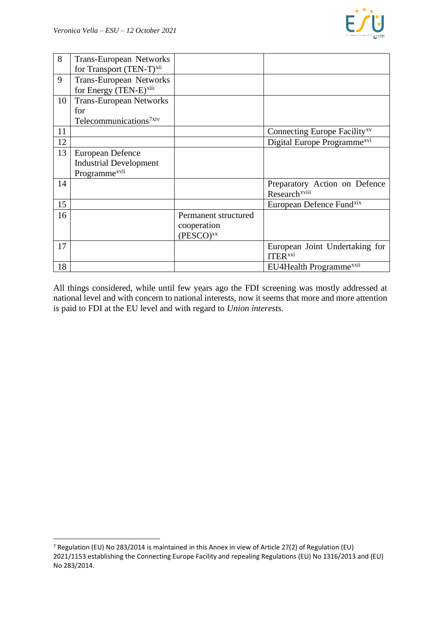

| 8  | Trans-European Networks              |                       |                                          |
|----|--------------------------------------|-----------------------|------------------------------------------|
|    | for Transport (TEN-T) <sup>xii</sup> |                       |                                          |
| 9  | <b>Trans-European Networks</b>       |                       |                                          |
|    | for Energy (TEN-E)xiii               |                       |                                          |
| 10 | <b>Trans-European Networks</b>       |                       |                                          |
|    | for                                  |                       |                                          |
|    | Telecommunications <sup>7xiv</sup>   |                       |                                          |
| 11 |                                      |                       | Connecting Europe Facility <sup>xv</sup> |
| 12 |                                      |                       | Digital Europe Programme <sup>xvi</sup>  |
| 13 | <b>European Defence</b>              |                       |                                          |
|    | <b>Industrial Development</b>        |                       |                                          |
|    | Programme <sup>xvii</sup>            |                       |                                          |
| 14 |                                      |                       | Preparatory Action on Defence            |
|    |                                      |                       | Research <sup>xviii</sup>                |
| 15 |                                      |                       | European Defence Fund <sup>xix</sup>     |
| 16 |                                      | Permanent structured  |                                          |
|    |                                      | cooperation           |                                          |
|    |                                      | (PESCO) <sup>xx</sup> |                                          |
| 17 |                                      |                       | European Joint Undertaking for           |
|    |                                      |                       | <b>ITER</b> xxi                          |
| 18 |                                      |                       | EU4Health Programme <sup>xxii</sup>      |

All things considered, while until few years ago the FDI screening was mostly addressed at national level and with concern to national interests, now it seems that more and more attention is paid to FDI at the EU level and with regard to *Union interests*.

<sup>7</sup> Regulation (EU) No 283/2014 is maintained in this Annex in view of Article 27(2) of Regulation (EU) 2021/1153 establishing the Connecting Europe Facility and repealing Regulations (EU) No 1316/2013 and (EU) No 283/2014.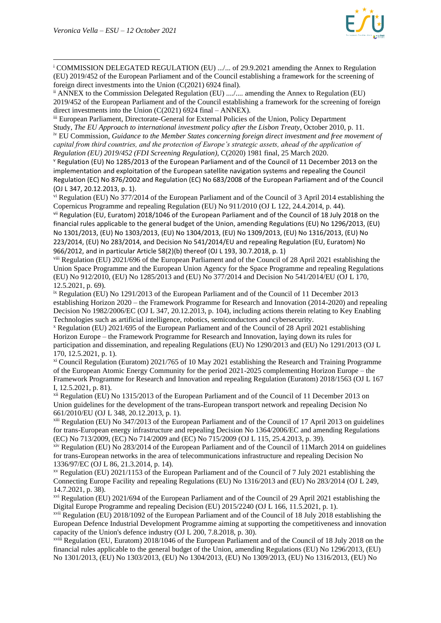

<sup>i</sup> COMMISSION DELEGATED REGULATION (EU) .../... of 29.9.2021 amending the Annex to Regulation (EU) 2019/452 of the European Parliament and of the Council establishing a framework for the screening of foreign direct investments into the Union (C(2021) 6924 final).

ii ANNEX to the Commission Delegated Regulation (EU) ..../.... amending the Annex to Regulation (EU) 2019/452 of the European Parliament and of the Council establishing a framework for the screening of foreign direct investments into the Union (C(2021) 6924 final – ANNEX).

iii European Parliament, Directorate-General for External Policies of the Union, Policy Department Study, *The EU Approach to international investment policy after the Lisbon Treaty*, October 2010, p. 11.

iv EU Commission, *Guidance to the Member States concerning foreign direct investment and free movement of capital from third countries, and the protection of Europe's strategic assets, ahead of the application of Regulation (EU) 2019/452 (FDI Screening Regulation)*, C(2020) 1981 final, 25 March 2020.

<sup>v</sup> Regulation (EU) No 1285/2013 of the European Parliament and of the Council of 11 December 2013 on the implementation and exploitation of the European satellite navigation systems and repealing the Council Regulation (EC) No 876/2002 and Regulation (EC) No 683/2008 of the European Parliament and of the Council (OJ L 347, 20.12.2013, p. 1).

vi Regulation (EU) No 377/2014 of the European Parliament and of the Council of 3 April 2014 establishing the Copernicus Programme and repealing Regulation (EU) No 911/2010 (OJ L 122, 24.4.2014, p. 44).

vii Regulation (EU, Euratom) 2018/1046 of the European Parliament and of the Council of 18 July 2018 on the financial rules applicable to the general budget of the Union, amending Regulations (EU) No 1296/2013, (EU) No 1301/2013, (EU) No 1303/2013, (EU) No 1304/2013, (EU) No 1309/2013, (EU) No 1316/2013, (EU) No 223/2014, (EU) No 283/2014, and Decision No 541/2014/EU and repealing Regulation (EU, Euratom) No 966/2012, and in particular Article 58(2)(b) thereof (OJ L 193, 30.7.2018, p. 1)

viii Regulation (EU) 2021/696 of the European Parliament and of the Council of 28 April 2021 establishing the Union Space Programme and the European Union Agency for the Space Programme and repealing Regulations (EU) No 912/2010, (EU) No 1285/2013 and (EU) No 377/2014 and Decision No 541/2014/EU (OJ L 170, 12.5.2021, p. 69).

ix Regulation (EU) No 1291/2013 of the European Parliament and of the Council of 11 December 2013 establishing Horizon 2020 – the Framework Programme for Research and Innovation (2014-2020) and repealing Decision No 1982/2006/EC (OJ L 347, 20.12.2013, p. 104), including actions therein relating to Key Enabling Technologies such as artificial intelligence, robotics, semiconductors and cybersecurity.

<sup>x</sup> Regulation (EU) 2021/695 of the European Parliament and of the Council of 28 April 2021 establishing Horizon Europe – the Framework Programme for Research and Innovation, laying down its rules for participation and dissemination, and repealing Regulations (EU) No 1290/2013 and (EU) No 1291/2013 (OJ L 170, 12.5.2021, p. 1).

xi Council Regulation (Euratom) 2021/765 of 10 May 2021 establishing the Research and Training Programme of the European Atomic Energy Community for the period 2021-2025 complementing Horizon Europe – the Framework Programme for Research and Innovation and repealing Regulation (Euratom) 2018/1563 (OJ L 167 I, 12.5.2021, p. 81).

xii Regulation (EU) No 1315/2013 of the European Parliament and of the Council of 11 December 2013 on Union guidelines for the development of the trans-European transport network and repealing Decision No 661/2010/EU (OJ L 348, 20.12.2013, p. 1).

xiii Regulation (EU) No 347/2013 of the European Parliament and of the Council of 17 April 2013 on guidelines for trans-European energy infrastructure and repealing Decision No 1364/2006/EC and amending Regulations (EC) No 713/2009, (EC) No 714/2009 and (EC) No 715/2009 (OJ L 115, 25.4.2013, p. 39).

xiv Regulation (EU) No 283/2014 of the European Parliament and of the Council of 11March 2014 on guidelines for trans-European networks in the area of telecommunications infrastructure and repealing Decision No 1336/97/EC (OJ L 86, 21.3.2014, p. 14).

xv Regulation (EU) 2021/1153 of the European Parliament and of the Council of 7 July 2021 establishing the Connecting Europe Facility and repealing Regulations (EU) No 1316/2013 and (EU) No 283/2014 (OJ L 249, 14.7.2021, p. 38).

xvi Regulation (EU) 2021/694 of the European Parliament and of the Council of 29 April 2021 establishing the Digital Europe Programme and repealing Decision (EU) 2015/2240 (OJ L 166, 11.5.2021, p. 1).

xvii Regulation (EU) 2018/1092 of the European Parliament and of the Council of 18 July 2018 establishing the European Defence Industrial Development Programme aiming at supporting the competitiveness and innovation capacity of the Union's defence industry (OJ L 200, 7.8.2018, p. 30).

xviii Regulation (EU, Euratom) 2018/1046 of the European Parliament and of the Council of 18 July 2018 on the financial rules applicable to the general budget of the Union, amending Regulations (EU) No 1296/2013, (EU) No 1301/2013, (EU) No 1303/2013, (EU) No 1304/2013, (EU) No 1309/2013, (EU) No 1316/2013, (EU) No